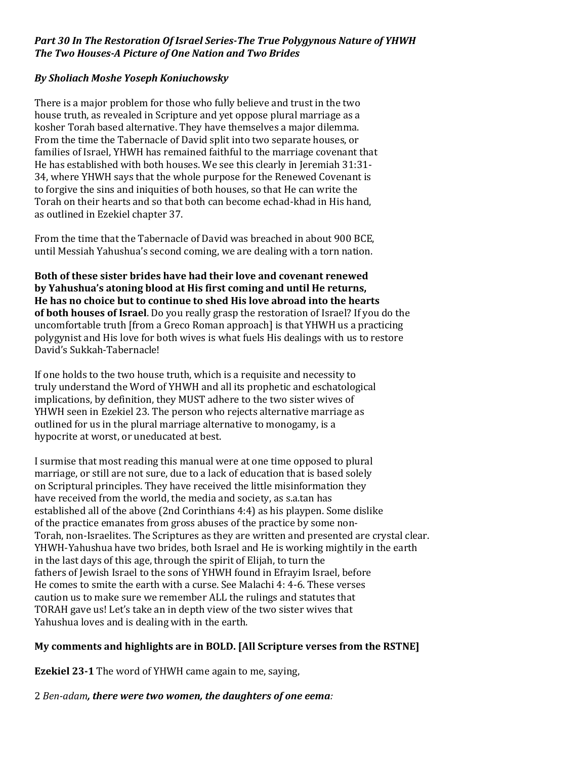## *Part 30 In The Restoration Of Israel Series-The True Polygynous Nature of YHWH The Two Houses-A Picture of One Nation and Two Brides*

## *By Sholiach Moshe Yoseph Koniuchowsky*

There is a major problem for those who fully believe and trust in the two house truth, as revealed in Scripture and yet oppose plural marriage as a kosher Torah based alternative. They have themselves a major dilemma. From the time the Tabernacle of David split into two separate houses, or families of Israel, YHWH has remained faithful to the marriage covenant that He has established with both houses. We see this clearly in Jeremiah 31:31-34, where YHWH says that the whole purpose for the Renewed Covenant is to forgive the sins and iniquities of both houses, so that He can write the Torah on their hearts and so that both can become echad-khad in His hand, as outlined in Ezekiel chapter 37.

From the time that the Tabernacle of David was breached in about 900 BCE, until Messiah Yahushua's second coming, we are dealing with a torn nation.

**Both of these sister brides have had their love and covenant renewed by Yahushua's atoning blood at His first coming and until He returns, He has no choice but to continue to shed His love abroad into the hearts of both houses of Israel**. Do you really grasp the restoration of Israel? If you do the uncomfortable truth [from a Greco Roman approach] is that YHWH us a practicing polygynist and His love for both wives is what fuels His dealings with us to restore David's Sukkah-Tabernacle!

If one holds to the two house truth, which is a requisite and necessity to truly understand the Word of YHWH and all its prophetic and eschatological implications, by definition, they MUST adhere to the two sister wives of YHWH seen in Ezekiel 23. The person who rejects alternative marriage as outlined for us in the plural marriage alternative to monogamy, is a hypocrite at worst, or uneducated at best.

I surmise that most reading this manual were at one time opposed to plural marriage, or still are not sure, due to a lack of education that is based solely on Scriptural principles. They have received the little misinformation they have received from the world, the media and society, as s.a.tan has established all of the above (2nd Corinthians 4:4) as his playpen. Some dislike of the practice emanates from gross abuses of the practice by some non-Torah, non-Israelites. The Scriptures as they are written and presented are crystal clear. YHWH-Yahushua have two brides, both Israel and He is working mightily in the earth in the last days of this age, through the spirit of Elijah, to turn the fathers of Jewish Israel to the sons of YHWH found in Efrayim Israel, before He comes to smite the earth with a curse. See Malachi 4: 4-6. These verses caution us to make sure we remember ALL the rulings and statutes that TORAH gave us! Let's take an in depth view of the two sister wives that Yahushua loves and is dealing with in the earth.

## **My comments and highlights are in BOLD. [All Scripture verses from the RSTNE]**

**Ezekiel 23-1** The word of YHWH came again to me, saying,

2 *Ben-adam, there were two women, the daughters of one eema:*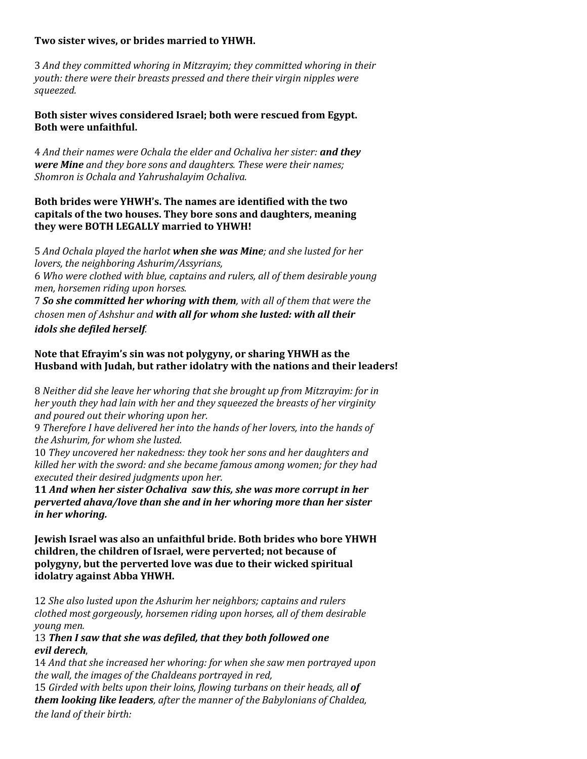#### **Two sister wives, or brides married to YHWH.**

3 *And they committed whoring in Mitzrayim; they committed whoring in their youth: there were their breasts pressed and there their virgin nipples were squeezed.*

**Both sister wives considered Israel; both were rescued from Egypt. Both were unfaithful.**

4 *And their names were Ochala the elder and Ochaliva her sister: and they were Mine and they bore sons and daughters. These were their names; Shomron is Ochala and Yahrushalayim Ochaliva.*

### **Both brides were YHWH's. The names are identified with the two capitals of the two houses. They bore sons and daughters, meaning they were BOTH LEGALLY married to YHWH!**

5 *And Ochala played the harlot when she was Mine; and she lusted for her lovers, the neighboring Ashurim/Assyrians,* 6 *Who were clothed with blue, captains and rulers, all of them desirable young men, horsemen riding upon horses.* 7 *So she committed her whoring with them, with all of them that were the*

*chosen men of Ashshur and with all for whom she lusted: with all their idols she defiled herself.* 

## **Note that Efrayim's sin was not polygyny, or sharing YHWH as the Husband with Judah, but rather idolatry with the nations and their leaders!**

8 *Neither did she leave her whoring that she brought up from Mitzrayim: for in her youth they had lain with her and they squeezed the breasts of her virginity and poured out their whoring upon her.*

9 *Therefore I have delivered her into the hands of her lovers, into the hands of the Ashurim, for whom she lusted.*

10 *They uncovered her nakedness: they took her sons and her daughters and killed her with the sword: and she became famous among women; for they had executed their desired judgments upon her.*

**11** *And when her sister Ochaliva saw this, she was more corrupt in her perverted ahava/love than she and in her whoring more than her sister in her whoring.*

**Jewish Israel was also an unfaithful bride. Both brides who bore YHWH children, the children of Israel, were perverted; not because of polygyny, but the perverted love was due to their wicked spiritual idolatry against Abba YHWH.**

12 *She also lusted upon the Ashurim her neighbors; captains and rulers clothed most gorgeously, horsemen riding upon horses, all of them desirable young men.*

### 13 *Then I saw that she was defiled, that they both followed one evil derech*,

14 *And that she increased her whoring: for when she saw men portrayed upon the wall, the images of the Chaldeans portrayed in red,* 

15 *Girded with belts upon their loins, flowing turbans on their heads, all of them looking like leaders, after the manner of the Babylonians of Chaldea, the land of their birth:*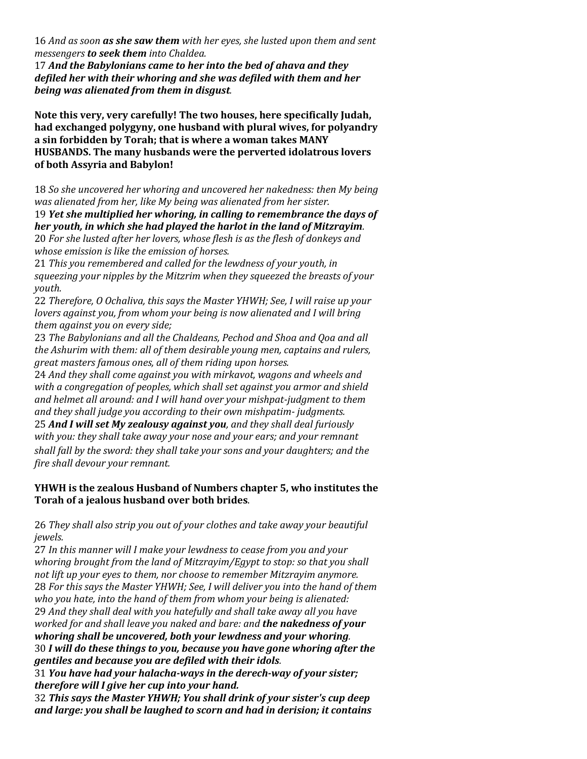16 *And as soon as she saw them with her eyes, she lusted upon them and sent messengers to seek them into Chaldea.* 

17 *And the Babylonians came to her into the bed of ahava and they defiled her with their whoring and she was defiled with them and her being was alienated from them in disgust.*

**Note this very, very carefully! The two houses, here specifically Judah, had exchanged polygyny, one husband with plural wives, for polyandry a sin forbidden by Torah; that is where a woman takes MANY HUSBANDS. The many husbands were the perverted idolatrous lovers of both Assyria and Babylon!**

18 *So she uncovered her whoring and uncovered her nakedness: then My being was alienated from her, like My being was alienated from her sister.*

19 *Yet she multiplied her whoring, in calling to remembrance the days of her youth, in which she had played the harlot in the land of Mitzrayim.* 20 *For she lusted after her lovers, whose flesh is as the flesh of donkeys and*

*whose emission is like the emission of horses.*

21 *This you remembered and called for the lewdness of your youth, in squeezing your nipples by the Mitzrim when they squeezed the breasts of your youth.*

22 *Therefore, O Ochaliva, this says the Master YHWH; See, I will raise up your lovers against you, from whom your being is now alienated and I will bring them against you on every side;* 

23 *The Babylonians and all the Chaldeans, Pechod and Shoa and Qoa and all the Ashurim with them: all of them desirable young men, captains and rulers, great masters famous ones, all of them riding upon horses.*

24 *And they shall come against you with mirkavot, wagons and wheels and with a congregation of peoples, which shall set against you armor and shield and helmet all around: and I will hand over your mishpat-judgment to them and they shall judge you according to their own mishpatim- judgments.*

25 *And I will set My zealousy against you, and they shall deal furiously with you: they shall take away your nose and your ears; and your remnant shall fall by the sword: they shall take your sons and your daughters; and the fire shall devour your remnant.*

## **YHWH is the zealous Husband of Numbers chapter 5, who institutes the Torah of a jealous husband over both brides**.

26 *They shall also strip you out of your clothes and take away your beautiful jewels.*

27 *In this manner will I make your lewdness to cease from you and your whoring brought from the land of Mitzrayim/Egypt to stop: so that you shall not lift up your eyes to them, nor choose to remember Mitzrayim anymore.* 28 *For this says the Master YHWH; See, I will deliver you into the hand of them who you hate, into the hand of them from whom your being is alienated:* 29 *And they shall deal with you hatefully and shall take away all you have worked for and shall leave you naked and bare: and the nakedness of your whoring shall be uncovered, both your lewdness and your whoring.* 30 *I will do these things to you, because you have gone whoring after the gentiles and because you are defiled with their idols.* 

31 *You have had your halacha-ways in the derech-way of your sister; therefore will I give her cup into your hand.* 

32 *This says the Master YHWH; You shall drink of your sister's cup deep and large: you shall be laughed to scorn and had in derision; it contains*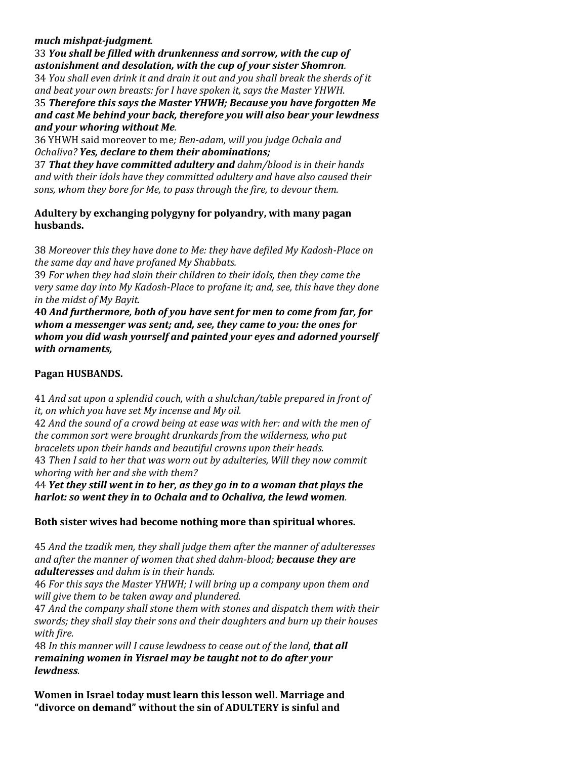## *much mishpat-judgment.*

33 *You shall be filled with drunkenness and sorrow, with the cup of astonishment and desolation, with the cup of your sister Shomron.*

34 *You shall even drink it and drain it out and you shall break the sherds of it and beat your own breasts: for I have spoken it, says the Master YHWH*.

35 *Therefore this says the Master YHWH; Because you have forgotten Me and cast Me behind your back, therefore you will also bear your lewdness and your whoring without Me.*

36 YHWH said moreover to me*; Ben-adam, will you judge Ochala and Ochaliva? Yes, declare to them their abominations;*

37 *That they have committed adultery and dahm/blood is in their hands and with their idols have they committed adultery and have also caused their sons, whom they bore for Me, to pass through the fire, to devour them.*

**Adultery by exchanging polygyny for polyandry, with many pagan husbands.**

38 *Moreover this they have done to Me: they have defiled My Kadosh-Place on the same day and have profaned My Shabbats.*

39 *For when they had slain their children to their idols, then they came the very same day into My Kadosh-Place to profane it; and, see, this have they done in the midst of My Bayit.*

**40** *And furthermore, both of you have sent for men to come from far, for whom a messenger was sent; and, see, they came to you: the ones for whom you did wash yourself and painted your eyes and adorned yourself with ornaments,*

# **Pagan HUSBANDS.**

41 *And sat upon a splendid couch, with a shulchan/table prepared in front of it, on which you have set My incense and My oil.*

42 *And the sound of a crowd being at ease was with her: and with the men of the common sort were brought drunkards from the wilderness, who put bracelets upon their hands and beautiful crowns upon their heads.* 43 *Then I said to her that was worn out by adulteries, Will they now commit whoring with her and she with them?*

44 *Yet they still went in to her, as they go in to a woman that plays the harlot: so went they in to Ochala and to Ochaliva, the lewd women.*

**Both sister wives had become nothing more than spiritual whores.**

45 *And the tzadik men, they shall judge them after the manner of adulteresses and after the manner of women that shed dahm-blood; because they are adulteresses and dahm is in their hands.*

46 *For this says the Master YHWH; I will bring up a company upon them and will give them to be taken away and plundered.*

47 *And the company shall stone them with stones and dispatch them with their swords; they shall slay their sons and their daughters and burn up their houses with fire.*

48 *In this manner will I cause lewdness to cease out of the land, that all remaining women in Yisrael may be taught not to do after your lewdness.*

**Women in Israel today must learn this lesson well. Marriage and "divorce on demand" without the sin of ADULTERY is sinful and**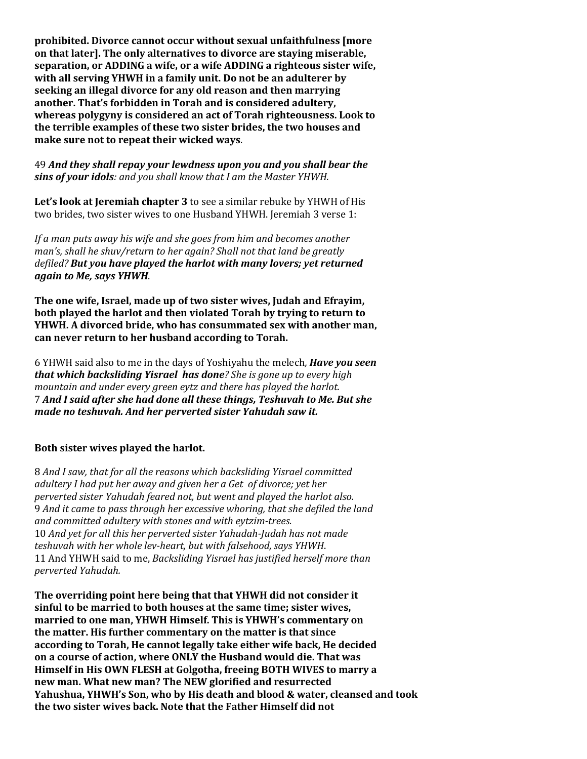**prohibited. Divorce cannot occur without sexual unfaithfulness [more on that later]. The only alternatives to divorce are staying miserable, separation, or ADDING a wife, or a wife ADDING a righteous sister wife, with all serving YHWH in a family unit. Do not be an adulterer by seeking an illegal divorce for any old reason and then marrying another. That's forbidden in Torah and is considered adultery, whereas polygyny is considered an act of Torah righteousness. Look to the terrible examples of these two sister brides, the two houses and make sure not to repeat their wicked ways**.

49 *And they shall repay your lewdness upon you and you shall bear the sins of your idols: and you shall know that I am the Master YHWH.*

**Let's look at Jeremiah chapter 3** to see a similar rebuke by YHWH of His two brides, two sister wives to one Husband YHWH. Jeremiah 3 verse 1:

*If a man puts away his wife and she goes from him and becomes another man's, shall he shuv/return to her again? Shall not that land be greatly defiled? But you have played the harlot with many lovers; yet returned again to Me, says YHWH*.

**The one wife, Israel, made up of two sister wives, Judah and Efrayim, both played the harlot and then violated Torah by trying to return to YHWH. A divorced bride, who has consummated sex with another man, can never return to her husband according to Torah.**

6 YHWH said also to me in the days of Yoshiyahu the melech*, Have you seen that which backsliding Yisrael has done? She is gone up to every high mountain and under every green eytz and there has played the harlot.* 7 *And I said after she had done all these things, Teshuvah to Me. But she made no teshuvah. And her perverted sister Yahudah saw it.*

## **Both sister wives played the harlot.**

8 *And I saw, that for all the reasons which backsliding Yisrael committed adultery I had put her away and given her a Get of divorce; yet her perverted sister Yahudah feared not, but went and played the harlot also.* 9 *And it came to pass through her excessive whoring, that she defiled the land and committed adultery with stones and with eytzim-trees.* 10 *And yet for all this her perverted sister Yahudah-Judah has not made teshuvah with her whole lev-heart, but with falsehood, says YHWH*. 11 And YHWH said to me, *Backsliding Yisrael has justified herself more than perverted Yahudah.* 

**The overriding point here being that that YHWH did not consider it sinful to be married to both houses at the same time; sister wives, married to one man, YHWH Himself. This is YHWH's commentary on the matter. His further commentary on the matter is that since according to Torah, He cannot legally take either wife back, He decided on a course of action, where ONLY the Husband would die. That was Himself in His OWN FLESH at Golgotha, freeing BOTH WIVES to marry a new man. What new man? The NEW glorified and resurrected Yahushua, YHWH's Son, who by His death and blood & water, cleansed and took the two sister wives back. Note that the Father Himself did not**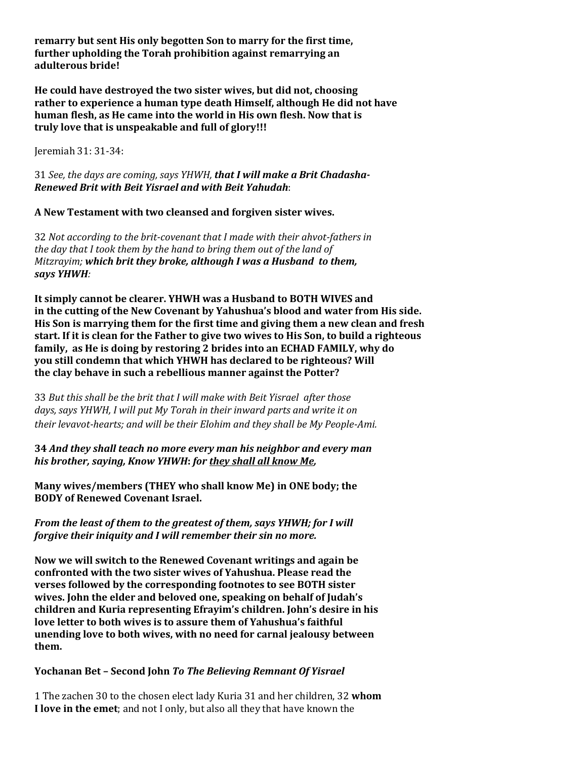**remarry but sent His only begotten Son to marry for the first time, further upholding the Torah prohibition against remarrying an adulterous bride!**

**He could have destroyed the two sister wives, but did not, choosing rather to experience a human type death Himself, although He did not have human flesh, as He came into the world in His own flesh. Now that is truly love that is unspeakable and full of glory!!!**

Jeremiah 31: 31-34:

31 *See, the days are coming, says YHWH, that I will make a Brit Chadasha-Renewed Brit with Beit Yisrael and with Beit Yahudah*:

**A New Testament with two cleansed and forgiven sister wives.**

32 *Not according to the brit-covenant that I made with their ahvot-fathers in the day that I took them by the hand to bring them out of the land of Mitzrayim; which brit they broke, although I was a Husband to them, says YHWH:* 

**It simply cannot be clearer. YHWH was a Husband to BOTH WIVES and in the cutting of the New Covenant by Yahushua's blood and water from His side. His Son is marrying them for the first time and giving them a new clean and fresh start. If it is clean for the Father to give two wives to His Son, to build a righteous family, as He is doing by restoring 2 brides into an ECHAD FAMILY, why do you still condemn that which YHWH has declared to be righteous? Will the clay behave in such a rebellious manner against the Potter?**

33 *But this shall be the brit that I will make with Beit Yisrael after those days, says YHWH, I will put My Torah in their inward parts and write it on their levavot-hearts; and will be their Elohim and they shall be My People-Ami.*

**34** *And they shall teach no more every man his neighbor and every man his brother, saying, Know YHWH***:** *for they shall all know Me,*

**Many wives/members (THEY who shall know Me) in ONE body; the BODY of Renewed Covenant Israel.**

*From the least of them to the greatest of them, says YHWH; for I will forgive their iniquity and I will remember their sin no more.* 

**Now we will switch to the Renewed Covenant writings and again be confronted with the two sister wives of Yahushua. Please read the verses followed by the corresponding footnotes to see BOTH sister wives. John the elder and beloved one, speaking on behalf of Judah's children and Kuria representing Efrayim's children. John's desire in his love letter to both wives is to assure them of Yahushua's faithful unending love to both wives, with no need for carnal jealousy between them.**

## **Yochanan Bet – Second John** *To The Believing Remnant Of Yisrael*

1 The zachen 30 to the chosen elect lady Kuria 31 and her children, 32 **whom I love in the emet**; and not I only, but also all they that have known the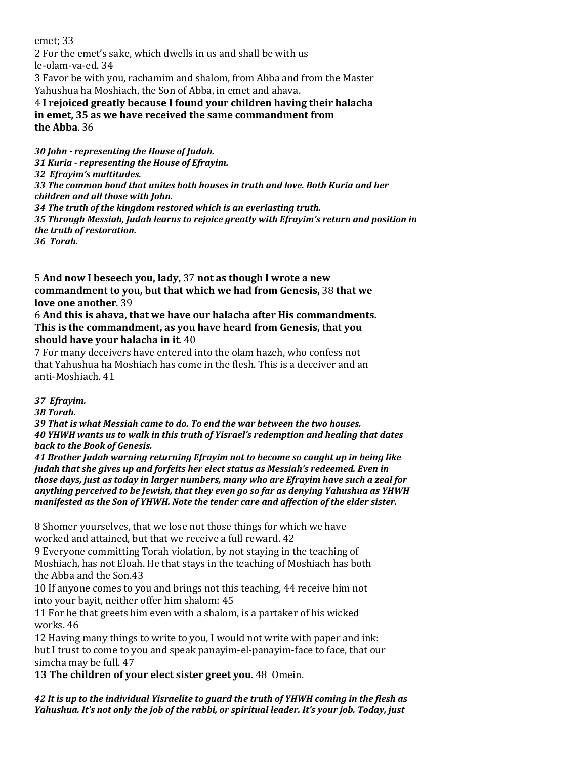emet; 33 2 For the emet's sake, which dwells in us and shall be with us le-olam-va-ed. 34 3 Favor be with you, rachamim and shalom, from Abba and from the Master Yahushua ha Moshiach, the Son of Abba, in emet and ahava. 4 **I rejoiced greatly because I found your children having their halacha in emet, 35 as we have received the same commandment from the Abba**. 36

*30 John - representing the House of Judah. 31 Kuria - representing the House of Efrayim. 32 Efrayim's multitudes. 33 The common bond that unites both houses in truth and love. Both Kuria and her children and all those with John. 34 The truth of the kingdom restored which is an everlasting truth. 35 Through Messiah, Judah learns to rejoice greatly with Efrayim's return and position in the truth of restoration. 36 Torah.*

5 **And now I beseech you, lady,** 37 **not as though I wrote a new commandment to you, but that which we had from Genesis,** 38 **that we love one another**. 39

6 **And this is ahava, that we have our halacha after His commandments. This is the commandment, as you have heard from Genesis, that you should have your halacha in it**. 40

7 For many deceivers have entered into the olam hazeh, who confess not that Yahushua ha Moshiach has come in the flesh. This is a deceiver and an anti-Moshiach. 41

*37 Efrayim.*

*38 Torah.*

*39 That is what Messiah came to do. To end the war between the two houses. 40 YHWH wants us to walk in this truth of Yisrael's redemption and healing that dates back to the Book of Genesis.*

*41 Brother Judah warning returning Efrayim not to become so caught up in being like Judah that she gives up and forfeits her elect status as Messiah's redeemed. Even in those days, just as today in larger numbers, many who are Efrayim have such a zeal for anything perceived to be Jewish, that they even go so far as denying Yahushua as YHWH manifested as the Son of YHWH. Note the tender care and affection of the elder sister.*

8 Shomer yourselves, that we lose not those things for which we have worked and attained, but that we receive a full reward. 42

9 Everyone committing Torah violation, by not staying in the teaching of Moshiach, has not Eloah. He that stays in the teaching of Moshiach has both the Abba and the Son.43

10 If anyone comes to you and brings not this teaching, 44 receive him not into your bayit, neither offer him shalom: 45

11 For he that greets him even with a shalom, is a partaker of his wicked works. 46

12 Having many things to write to you, I would not write with paper and ink: but I trust to come to you and speak panayim-el-panayim-face to face, that our simcha may be full. 47

**13 The children of your elect sister greet you**. 48 Omein.

*42 It is up to the individual Yisraelite to guard the truth of YHWH coming in the flesh as Yahushua. It's not only the job of the rabbi, or spiritual leader. It's your job. Today, just*